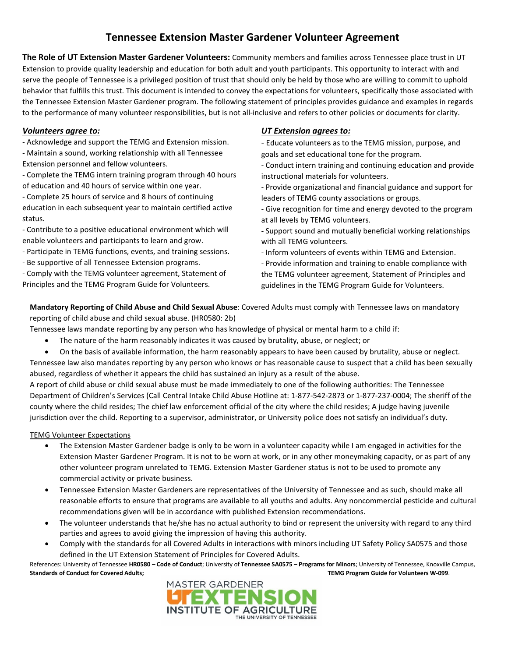# **Tennessee Extension Master Gardener Volunteer Agreement**

**The Role of UT Extension Master Gardener Volunteers:** Community members and families across Tennessee place trust in UT Extension to provide quality leadership and education for both adult and youth participants. This opportunity to interact with and serve the people of Tennessee is a privileged position of trust that should only be held by those who are willing to commit to uphold behavior that fulfills this trust. This document is intended to convey the expectations for volunteers, specifically those associated with the Tennessee Extension Master Gardener program. The following statement of principles provides guidance and examples in regards to the performance of many volunteer responsibilities, but is not all-inclusive and refers to other policies or documents for clarity.

### *Volunteers agree to:*

- Acknowledge and support the TEMG and Extension mission.

- Maintain a sound, working relationship with all Tennessee Extension personnel and fellow volunteers.

- Complete the TEMG intern training program through 40 hours of education and 40 hours of service within one year.

- Complete 25 hours of service and 8 hours of continuing education in each subsequent year to maintain certified active status.

- Contribute to a positive educational environment which will enable volunteers and participants to learn and grow.

- Participate in TEMG functions, events, and training sessions.

- Be supportive of all Tennessee Extension programs.

- Comply with the TEMG volunteer agreement, Statement of Principles and the TEMG Program Guide for Volunteers.

#### *UT Extension agrees to:*

- Educate volunteers as to the TEMG mission, purpose, and goals and set educational tone for the program.

- Conduct intern training and continuing education and provide instructional materials for volunteers.

- Provide organizational and financial guidance and support for leaders of TEMG county associations or groups.

- Give recognition for time and energy devoted to the program at all levels by TEMG volunteers.

- Support sound and mutually beneficial working relationships with all TEMG volunteers.
- Inform volunteers of events within TEMG and Extension.

- Provide information and training to enable compliance with the TEMG volunteer agreement, Statement of Principles and guidelines in the TEMG Program Guide for Volunteers.

**Mandatory Reporting of Child Abuse and Child Sexual Abuse**: Covered Adults must comply with Tennessee laws on mandatory reporting of child abuse and child sexual abuse. (HR0580: 2b)

Tennessee laws mandate reporting by any person who has knowledge of physical or mental harm to a child if:

- The nature of the harm reasonably indicates it was caused by brutality, abuse, or neglect; or
- On the basis of available information, the harm reasonably appears to have been caused by brutality, abuse or neglect. Tennessee law also mandates reporting by any person who knows or has reasonable cause to suspect that a child has been sexually abused, regardless of whether it appears the child has sustained an injury as a result of the abuse.

A report of child abuse or child sexual abuse must be made immediately to one of the following authorities: The Tennessee Department of Children's Services (Call Central Intake Child Abuse Hotline at: 1-877-542-2873 or 1-877-237-0004; The sheriff of the county where the child resides; The chief law enforcement official of the city where the child resides; A judge having juvenile jurisdiction over the child. Reporting to a supervisor, administrator, or University police does not satisfy an individual's duty.

## TEMG Volunteer Expectations

- The Extension Master Gardener badge is only to be worn in a volunteer capacity while I am engaged in activities for the Extension Master Gardener Program. It is not to be worn at work, or in any other moneymaking capacity, or as part of any other volunteer program unrelated to TEMG. Extension Master Gardener status is not to be used to promote any commercial activity or private business.
- Tennessee Extension Master Gardeners are representatives of the University of Tennessee and as such, should make all reasonable efforts to ensure that programs are available to all youths and adults. Any noncommercial pesticide and cultural recommendations given will be in accordance with published Extension recommendations.
- The volunteer understands that he/she has no actual authority to bind or represent the university with regard to any third parties and agrees to avoid giving the impression of having this authority.
- Comply with the standards for all Covered Adults in interactions with minors including UT Safety Policy SA0575 and those defined in the UT Extension Statement of Principles for Covered Adults.

References: University of Tennessee **HR0580 – Code of Conduct**; University of **Tennessee SA0575 – Programs for Minors**; University of Tennessee, Knoxville Campus, **Standards of Conduct for Covered Adults; TEMG Program Guide for Volunteers W-099**.